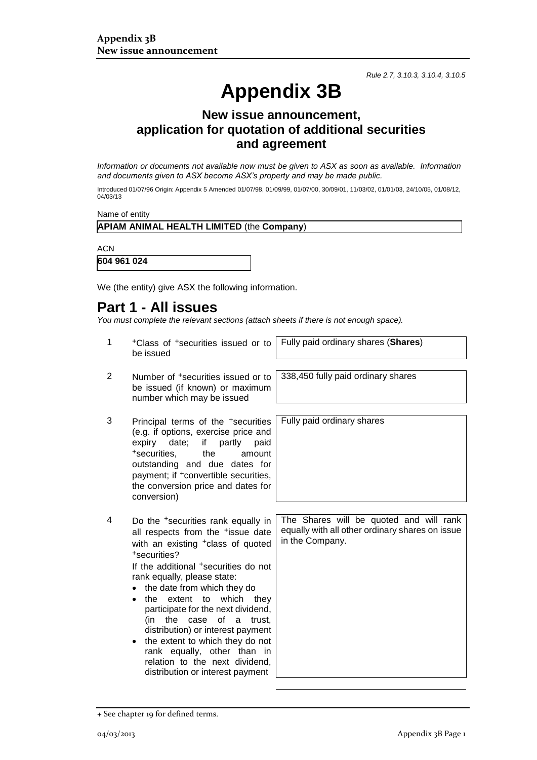*Rule 2.7, 3.10.3, 3.10.4, 3.10.5*

# **Appendix 3B**

### **New issue announcement, application for quotation of additional securities and agreement**

*Information or documents not available now must be given to ASX as soon as available. Information and documents given to ASX become ASX's property and may be made public.*

Introduced 01/07/96 Origin: Appendix 5 Amended 01/07/98, 01/09/99, 01/07/00, 30/09/01, 11/03/02, 01/01/03, 24/10/05, 01/08/12, 04/03/13

Name of entity

#### **APIAM ANIMAL HEALTH LIMITED** (the **Company**)

**ACN** 

**604 961 024**

We (the entity) give ASX the following information.

## **Part 1 - All issues**

*You must complete the relevant sections (attach sheets if there is not enough space).*

- 1 +Class of +securities issued or to be issued
- 2 Number of +securities issued or to be issued (if known) or maximum number which may be issued
- 3 Principal terms of the +securities (e.g. if options, exercise price and expiry date; if partly paid +securities, the amount outstanding and due dates for payment; if <sup>+</sup>convertible securities, the conversion price and dates for conversion)
- 4 Do the +securities rank equally in all respects from the <sup>+</sup>issue date with an existing <sup>+</sup>class of quoted +securities?

If the additional +securities do not rank equally, please state:

- the date from which they do
- the extent to which they participate for the next dividend, (in the case of a trust, distribution) or interest payment
- the extent to which they do not rank equally, other than in relation to the next dividend, distribution or interest payment

Fully paid ordinary shares (**Shares**)

338,450 fully paid ordinary shares

Fully paid ordinary shares

The Shares will be quoted and will rank equally with all other ordinary shares on issue in the Company.

<sup>+</sup> See chapter 19 for defined terms.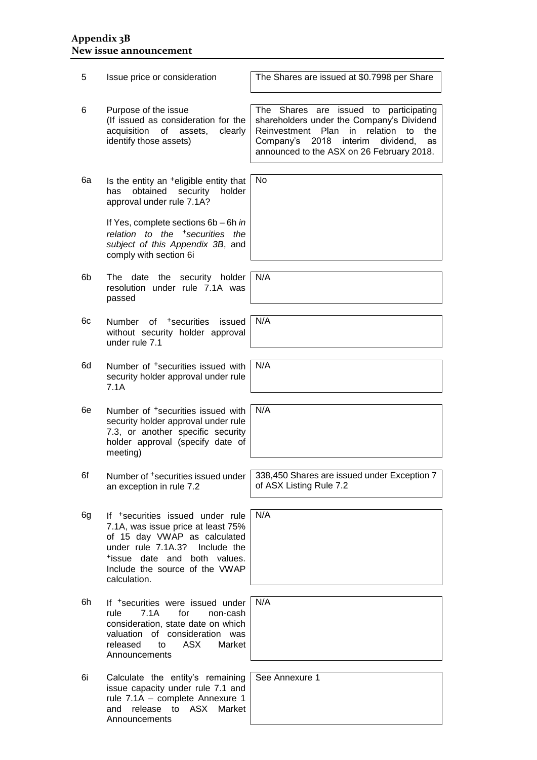#### **Appendix 3B New issue announcement**

| 5  | Issue price or consideration                                                                                                                                                                                                              | The Shares are issued at \$0.7998 per Share                                                                                                                                                                                                          |
|----|-------------------------------------------------------------------------------------------------------------------------------------------------------------------------------------------------------------------------------------------|------------------------------------------------------------------------------------------------------------------------------------------------------------------------------------------------------------------------------------------------------|
| 6  | Purpose of the issue<br>(If issued as consideration for the<br>acquisition<br>of assets,<br>clearly<br>identify those assets)                                                                                                             | are issued to participating<br><b>Shares</b><br>The<br>shareholders under the Company's Dividend<br>Reinvestment<br>Plan in<br>relation<br>to<br>the<br>2018<br>interim<br>Company's<br>dividend,<br>as<br>announced to the ASX on 26 February 2018. |
| 6а | Is the entity an <sup>+</sup> eligible entity that<br>obtained<br>holder<br>has<br>security<br>approval under rule 7.1A?                                                                                                                  | No                                                                                                                                                                                                                                                   |
|    | If Yes, complete sections 6b - 6h in<br>relation to the <sup>+</sup> securities the<br>subject of this Appendix 3B, and<br>comply with section 6i                                                                                         |                                                                                                                                                                                                                                                      |
| 6b | The date the security holder<br>resolution under rule 7.1A was<br>passed                                                                                                                                                                  | N/A                                                                                                                                                                                                                                                  |
| 6с | Number of <sup>+</sup> securities<br>issued<br>without security holder approval<br>under rule 7.1                                                                                                                                         | N/A                                                                                                                                                                                                                                                  |
| 6d | Number of <sup>+</sup> securities issued with<br>security holder approval under rule<br>7.1A                                                                                                                                              | N/A                                                                                                                                                                                                                                                  |
| 6e | Number of <sup>+</sup> securities issued with<br>security holder approval under rule<br>7.3, or another specific security<br>holder approval (specify date of<br>meeting)                                                                 | N/A                                                                                                                                                                                                                                                  |
| 6f | Number of <sup>+</sup> securities issued under<br>an exception in rule 7.2                                                                                                                                                                | 338,450 Shares are issued under Exception 7<br>of ASX Listing Rule 7.2                                                                                                                                                                               |
| 6g | If <sup>+</sup> securities issued under rule<br>7.1A, was issue price at least 75%<br>of 15 day VWAP as calculated<br>under rule 7.1A.3?<br>Include the<br>tissue date and both values.<br>Include the source of the VWAP<br>calculation. | N/A                                                                                                                                                                                                                                                  |
| 6h | If <sup>+</sup> securities were issued under<br>rule<br>7.1A<br>for<br>non-cash<br>consideration, state date on which<br>valuation of consideration was<br>ASX<br>released<br>to<br>Market<br>Announcements                               | N/A                                                                                                                                                                                                                                                  |
| 6i | Calculate the entity's remaining<br>issue capacity under rule 7.1 and<br>rule 7.1A - complete Annexure 1<br><b>ASX</b><br>Market<br>and<br>release<br>to<br>Announcements                                                                 | See Annexure 1                                                                                                                                                                                                                                       |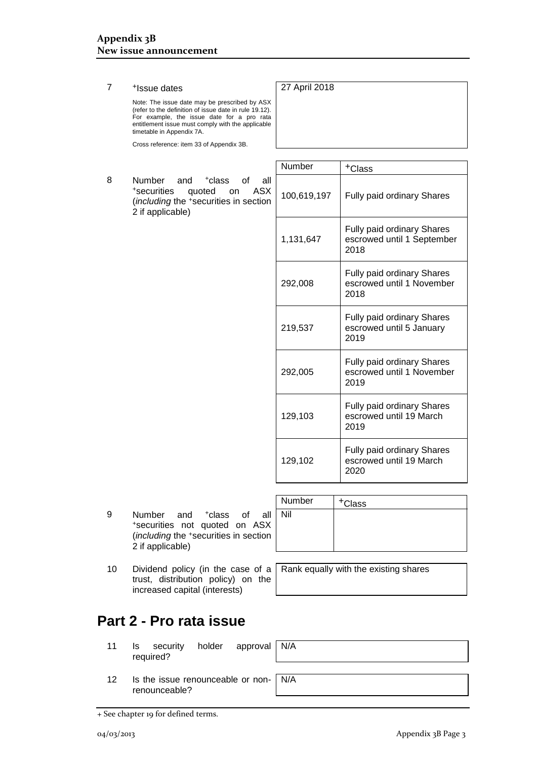#### 7 +Issue dates

Note: The issue date may be prescribed by ASX (refer to the definition of issue date in rule 19.12). For example, the issue date for a pro rata entitlement issue must comply with the applicable timetable in Appendix 7A.

Cross reference: item 33 of Appendix 3B.

8 Number and <sup>+</sup>class of all<br>
<sup>+</sup>securities quoted on ASX +securities quoted (*including* the <sup>+</sup>securities in section 2 if applicable)

| Number      | +Class                                                                  |
|-------------|-------------------------------------------------------------------------|
| 100,619,197 | <b>Fully paid ordinary Shares</b>                                       |
| 1,131,647   | <b>Fully paid ordinary Shares</b><br>escrowed until 1 September<br>2018 |
| 292,008     | <b>Fully paid ordinary Shares</b><br>escrowed until 1 November<br>2018  |
| 219,537     | <b>Fully paid ordinary Shares</b><br>escrowed until 5 January<br>2019   |
| 292,005     | <b>Fully paid ordinary Shares</b><br>escrowed until 1 November<br>2019  |
| 129,103     | Fully paid ordinary Shares<br>escrowed until 19 March<br>2019           |
| 129,102     | <b>Fully paid ordinary Shares</b><br>escrowed until 19 March<br>2020    |

27 April 2018

9 Number and <sup>+</sup>class of all <sup>+</sup>securities not quoted on ASX (*including* the <sup>+</sup>securities in section 2 if applicable)

| Number | <sup>+</sup> Class |
|--------|--------------------|
| Nil    |                    |
|        |                    |
|        |                    |

10 Dividend policy (in the case of a trust, distribution policy) on the increased capital (interests)

Rank equally with the existing shares

N/A

N/A

## **Part 2 - Pro rata issue**

- 11 Is security holder approval required?
- 12 Is the issue renounceable or nonrenounceable?

+ See chapter 19 for defined terms.

04/03/2013 Appendix 3B Page 3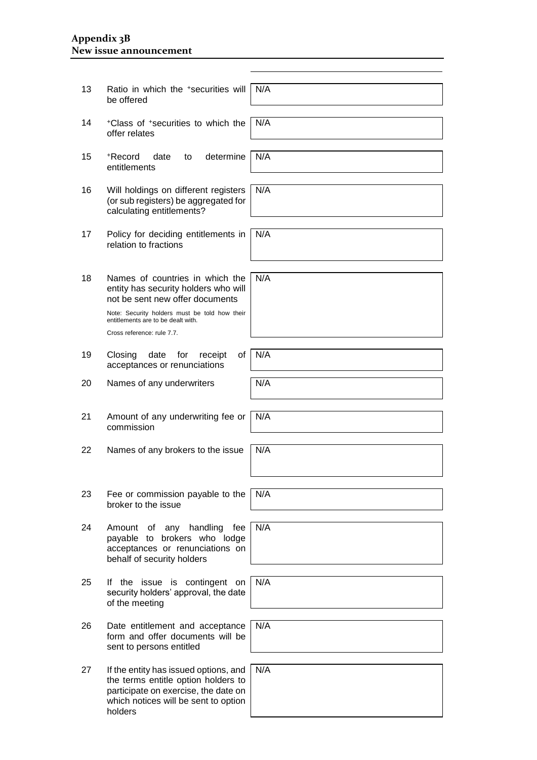#### **Appendix 3B New issue announcement**

| 13 | Ratio in which the *securities will<br>be offered                                                                                                                       | N/A |
|----|-------------------------------------------------------------------------------------------------------------------------------------------------------------------------|-----|
| 14 | *Class of *securities to which the<br>offer relates                                                                                                                     | N/A |
|    |                                                                                                                                                                         |     |
| 15 | determine<br>+Record<br>date<br>to<br>entitlements                                                                                                                      | N/A |
|    |                                                                                                                                                                         |     |
| 16 | Will holdings on different registers<br>(or sub registers) be aggregated for<br>calculating entitlements?                                                               | N/A |
|    |                                                                                                                                                                         |     |
| 17 | Policy for deciding entitlements in<br>relation to fractions                                                                                                            | N/A |
|    |                                                                                                                                                                         |     |
| 18 | Names of countries in which the<br>entity has security holders who will<br>not be sent new offer documents                                                              | N/A |
|    | Note: Security holders must be told how their<br>entitlements are to be dealt with.<br>Cross reference: rule 7.7.                                                       |     |
|    |                                                                                                                                                                         |     |
| 19 | Closing<br>for<br>0f<br>date<br>receipt<br>acceptances or renunciations                                                                                                 | N/A |
|    |                                                                                                                                                                         | N/A |
| 20 | Names of any underwriters                                                                                                                                               |     |
|    |                                                                                                                                                                         |     |
| 21 | Amount of any underwriting fee or<br>commission                                                                                                                         | N/A |
|    |                                                                                                                                                                         |     |
| 22 | Names of any brokers to the issue                                                                                                                                       | N/A |
|    |                                                                                                                                                                         |     |
| 23 | Fee or commission payable to the<br>broker to the issue                                                                                                                 | N/A |
|    |                                                                                                                                                                         |     |
| 24 | any handling<br>fee<br>Amount<br>οf<br>brokers who lodge<br>payable to<br>acceptances or renunciations on<br>behalf of security holders                                 | N/A |
|    |                                                                                                                                                                         |     |
| 25 | If the issue is contingent on<br>security holders' approval, the date<br>of the meeting                                                                                 | N/A |
|    |                                                                                                                                                                         |     |
| 26 | Date entitlement and acceptance<br>form and offer documents will be<br>sent to persons entitled                                                                         | N/A |
|    |                                                                                                                                                                         |     |
| 27 | If the entity has issued options, and<br>the terms entitle option holders to<br>participate on exercise, the date on<br>which notices will be sent to option<br>holdoro | N/A |

holders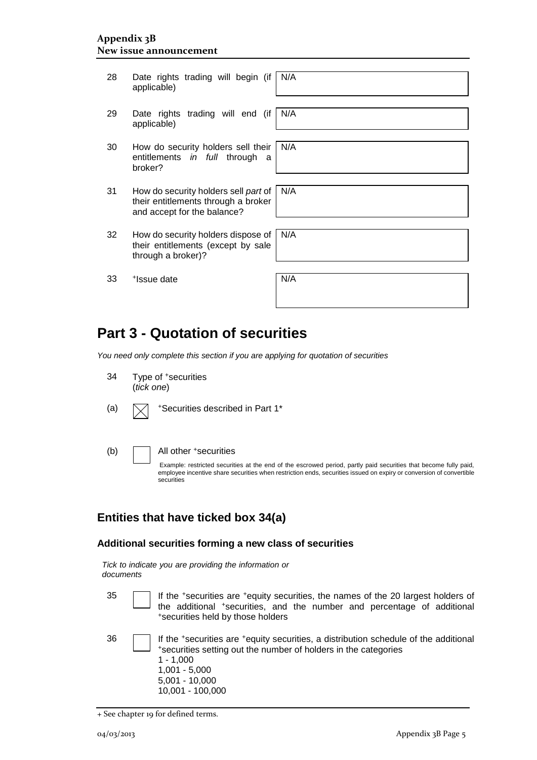28 Date rights trading will begin (if applicable) N/A 29 Date rights trading will end (if applicable) N/A 30 How do security holders sell their entitlements *in full* through a broker? N/A 31 How do security holders sell *part* of their entitlements through a broker and accept for the balance? N/A 32 How do security holders dispose of their entitlements (except by sale through a broker)? N/A 33 + Issue date N/A

## **Part 3 - Quotation of securities**

*You need only complete this section if you are applying for quotation of securities*

| 34  | (tick one) | Type of <sup>+</sup> securities                                                                                                                                                                                                                                                |
|-----|------------|--------------------------------------------------------------------------------------------------------------------------------------------------------------------------------------------------------------------------------------------------------------------------------|
| (a) |            | *Securities described in Part 1*                                                                                                                                                                                                                                               |
| (b) |            | All other +securities<br>Example: restricted securities at the end of the escrowed period, partly paid securities that become fully paid,<br>employee incentive share securities when restriction ends, securities issued on expiry or conversion of convertible<br>securities |

#### **Entities that have ticked box 34(a)**

#### **Additional securities forming a new class of securities**

| Tick to indicate you are providing the information or |  |  |
|-------------------------------------------------------|--|--|
| documents                                             |  |  |

- 
- 35 **If the +securities are +equity securities, the names of the 20 largest holders of** the additional \*securities, and the number and percentage of additional <sup>+</sup>securities held by those holders

| 36 |  | If the *securities are *equity securities, a distribution schedule of the additional<br>*securities setting out the number of holders in the categories<br>1 - 1.000<br>$1.001 - 5.000$<br>$5,001 - 10,000$<br>10,001 - 100,000 |
|----|--|---------------------------------------------------------------------------------------------------------------------------------------------------------------------------------------------------------------------------------|
|----|--|---------------------------------------------------------------------------------------------------------------------------------------------------------------------------------------------------------------------------------|

<sup>+</sup> See chapter 19 for defined terms.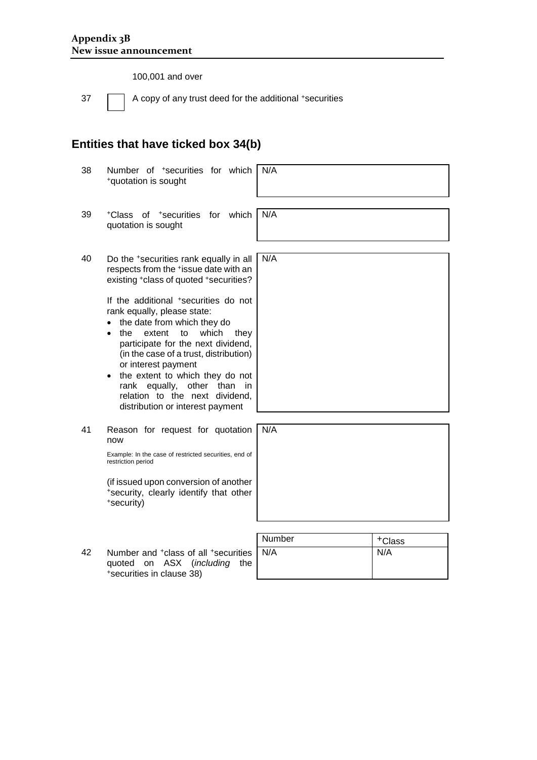100,001 and over

37 A copy of any trust deed for the additional +securities

## **Entities that have ticked box 34(b)**

<sup>+</sup>securities in clause 38)

| 38 | Number of <sup>+</sup> securities for which<br>+quotation is sought                                                                                                                                                                                                                                                                                                                                                                                                                                                                                     | N/A    |                    |
|----|---------------------------------------------------------------------------------------------------------------------------------------------------------------------------------------------------------------------------------------------------------------------------------------------------------------------------------------------------------------------------------------------------------------------------------------------------------------------------------------------------------------------------------------------------------|--------|--------------------|
| 39 | <sup>+</sup> Class of <sup>+</sup> securities for which<br>quotation is sought                                                                                                                                                                                                                                                                                                                                                                                                                                                                          | N/A    |                    |
| 40 | Do the +securities rank equally in all<br>respects from the +issue date with an<br>existing +class of quoted +securities?<br>If the additional *securities do not<br>rank equally, please state:<br>the date from which they do<br>$\bullet$<br>to<br>which<br>the<br>extent<br>they<br>$\bullet$<br>participate for the next dividend,<br>(in the case of a trust, distribution)<br>or interest payment<br>the extent to which they do not<br>rank equally, other<br>than<br>in.<br>relation to the next dividend,<br>distribution or interest payment | N/A    |                    |
| 41 | Reason for request for quotation<br>now<br>Example: In the case of restricted securities, end of<br>restriction period<br>(if issued upon conversion of another<br>*security, clearly identify that other<br>+security)                                                                                                                                                                                                                                                                                                                                 | N/A    |                    |
|    |                                                                                                                                                                                                                                                                                                                                                                                                                                                                                                                                                         | Number | <sup>+</sup> Class |
| 42 | Number and <sup>+</sup> class of all <sup>+</sup> securities<br><b>ASX</b><br>( <i>including</i><br>the<br>quoted<br>on                                                                                                                                                                                                                                                                                                                                                                                                                                 | N/A    | N/A                |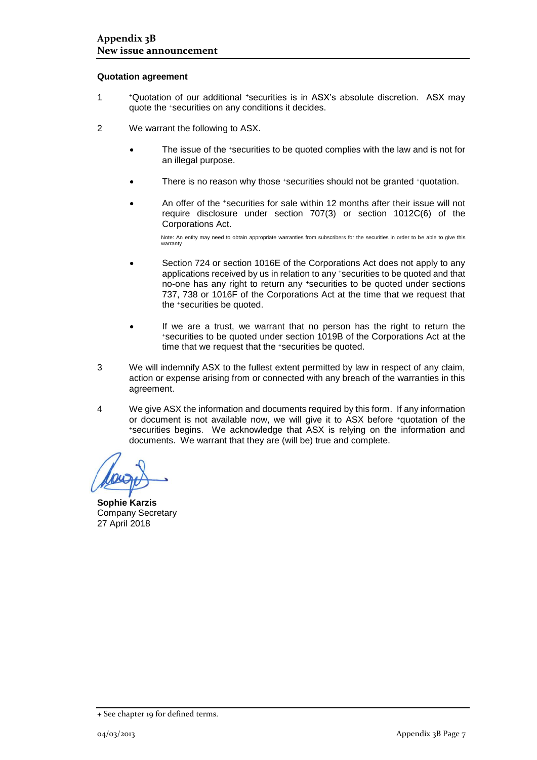#### **Quotation agreement**

- 1 <sup>+</sup>Quotation of our additional +securities is in ASX's absolute discretion. ASX may quote the +securities on any conditions it decides.
- 2 We warrant the following to ASX.
	- The issue of the +securities to be quoted complies with the law and is not for an illegal purpose.
	- There is no reason why those +securities should not be granted +quotation.
	- An offer of the <sup>+</sup>securities for sale within 12 months after their issue will not require disclosure under section 707(3) or section 1012C(6) of the Corporations Act.

Note: An entity may need to obtain appropriate warranties from subscribers for the securities in order to be able to give this warranty

- Section 724 or section 1016E of the Corporations Act does not apply to any applications received by us in relation to any +securities to be quoted and that no-one has any right to return any +securities to be quoted under sections 737, 738 or 1016F of the Corporations Act at the time that we request that the +securities be quoted.
- If we are a trust, we warrant that no person has the right to return the <sup>+</sup>securities to be quoted under section 1019B of the Corporations Act at the time that we request that the +securities be quoted.
- 3 We will indemnify ASX to the fullest extent permitted by law in respect of any claim, action or expense arising from or connected with any breach of the warranties in this agreement.
- 4 We give ASX the information and documents required by this form. If any information or document is not available now, we will give it to ASX before +quotation of the <sup>+</sup>securities begins. We acknowledge that ASX is relying on the information and documents. We warrant that they are (will be) true and complete.

**Sophie Karzis** Company Secretary 27 April 2018

<sup>+</sup> See chapter 19 for defined terms.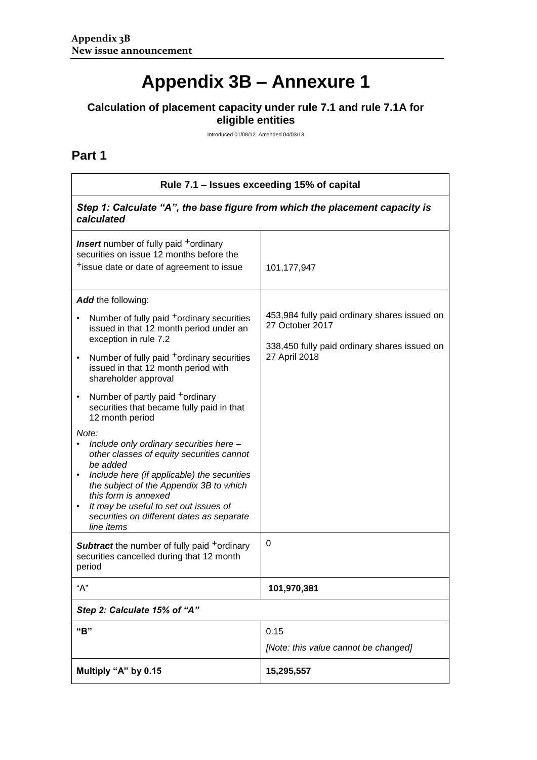# **Appendix 3B – Annexure 1**

#### **Calculation of placement capacity under rule 7.1 and rule 7.1A for eligible entities**

Introduced 01/08/12 Amended 04/03/13

## **Part 1**

| Rule 7.1 – Issues exceeding 15% of capital                                                                                                                                                                                                                                                                                                                                                                                                                                                                                                                                                                                                                                                                                                                       |                                                                                                                                  |  |  |
|------------------------------------------------------------------------------------------------------------------------------------------------------------------------------------------------------------------------------------------------------------------------------------------------------------------------------------------------------------------------------------------------------------------------------------------------------------------------------------------------------------------------------------------------------------------------------------------------------------------------------------------------------------------------------------------------------------------------------------------------------------------|----------------------------------------------------------------------------------------------------------------------------------|--|--|
| Step 1: Calculate "A", the base figure from which the placement capacity is<br>calculated                                                                                                                                                                                                                                                                                                                                                                                                                                                                                                                                                                                                                                                                        |                                                                                                                                  |  |  |
| <b>Insert</b> number of fully paid <sup>+</sup> ordinary<br>securities on issue 12 months before the<br><sup>+</sup> issue date or date of agreement to issue                                                                                                                                                                                                                                                                                                                                                                                                                                                                                                                                                                                                    | 101,177,947                                                                                                                      |  |  |
| Add the following:<br>Number of fully paid <sup>+</sup> ordinary securities<br>issued in that 12 month period under an<br>exception in rule 7.2<br>Number of fully paid <sup>+</sup> ordinary securities<br>$\bullet$<br>issued in that 12 month period with<br>shareholder approval<br>Number of partly paid <sup>+</sup> ordinary<br>$\bullet$<br>securities that became fully paid in that<br>12 month period<br>Note:<br>Include only ordinary securities here -<br>other classes of equity securities cannot<br>be added<br>Include here (if applicable) the securities<br>the subject of the Appendix 3B to which<br>this form is annexed<br>It may be useful to set out issues of<br>$\bullet$<br>securities on different dates as separate<br>line items | 453,984 fully paid ordinary shares issued on<br>27 October 2017<br>338,450 fully paid ordinary shares issued on<br>27 April 2018 |  |  |
| <b>Subtract</b> the number of fully paid <sup>+</sup> ordinary<br>securities cancelled during that 12 month<br>period                                                                                                                                                                                                                                                                                                                                                                                                                                                                                                                                                                                                                                            | 0                                                                                                                                |  |  |
| "А"                                                                                                                                                                                                                                                                                                                                                                                                                                                                                                                                                                                                                                                                                                                                                              | 101,970,381                                                                                                                      |  |  |
| Step 2: Calculate 15% of "A"                                                                                                                                                                                                                                                                                                                                                                                                                                                                                                                                                                                                                                                                                                                                     |                                                                                                                                  |  |  |
| "B"                                                                                                                                                                                                                                                                                                                                                                                                                                                                                                                                                                                                                                                                                                                                                              | 0.15<br>[Note: this value cannot be changed]                                                                                     |  |  |
| Multiply "A" by 0.15                                                                                                                                                                                                                                                                                                                                                                                                                                                                                                                                                                                                                                                                                                                                             | 15,295,557                                                                                                                       |  |  |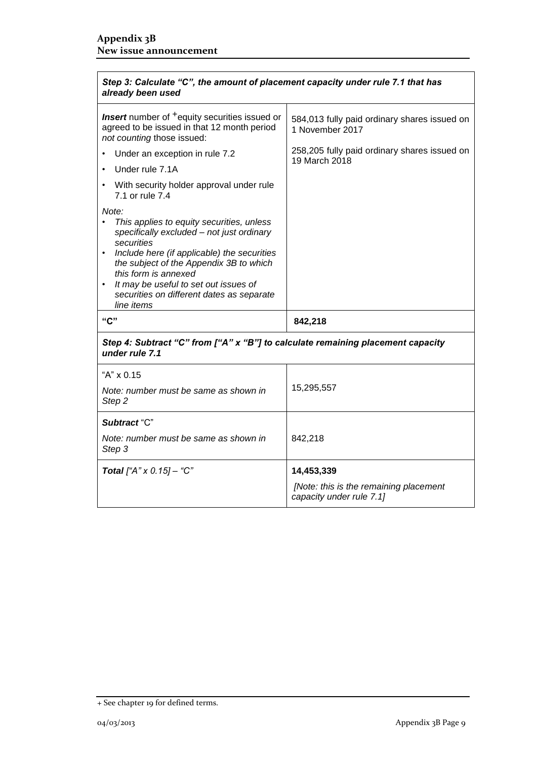$\mathbf{r}$ 

| Step 3: Calculate "C", the amount of placement capacity under rule 7.1 that has<br>already been used                                                                                                                                                                                                                                             |                                                                    |  |  |  |
|--------------------------------------------------------------------------------------------------------------------------------------------------------------------------------------------------------------------------------------------------------------------------------------------------------------------------------------------------|--------------------------------------------------------------------|--|--|--|
| <b>Insert</b> number of <sup>+</sup> equity securities issued or<br>agreed to be issued in that 12 month period<br>not counting those issued:                                                                                                                                                                                                    | 584,013 fully paid ordinary shares issued on<br>1 November 2017    |  |  |  |
| Under an exception in rule 7.2<br>$\bullet$                                                                                                                                                                                                                                                                                                      | 258,205 fully paid ordinary shares issued on<br>19 March 2018      |  |  |  |
| Under rule 7.1A                                                                                                                                                                                                                                                                                                                                  |                                                                    |  |  |  |
| With security holder approval under rule<br>7.1 or rule 7.4                                                                                                                                                                                                                                                                                      |                                                                    |  |  |  |
| Note:<br>This applies to equity securities, unless<br>specifically excluded - not just ordinary<br>securities<br>Include here (if applicable) the securities<br>$\bullet$<br>the subject of the Appendix 3B to which<br>this form is annexed<br>It may be useful to set out issues of<br>securities on different dates as separate<br>line items |                                                                    |  |  |  |
| "C"                                                                                                                                                                                                                                                                                                                                              | 842,218                                                            |  |  |  |
| Step 4: Subtract "C" from ["A" x "B"] to calculate remaining placement capacity<br>under rule 7.1                                                                                                                                                                                                                                                |                                                                    |  |  |  |
| "A" x 0.15                                                                                                                                                                                                                                                                                                                                       |                                                                    |  |  |  |
| Note: number must be same as shown in<br>Step 2                                                                                                                                                                                                                                                                                                  | 15,295,557                                                         |  |  |  |
| Subtract "C"                                                                                                                                                                                                                                                                                                                                     |                                                                    |  |  |  |
| Note: number must be same as shown in<br>Step 3                                                                                                                                                                                                                                                                                                  | 842,218                                                            |  |  |  |
| <b>Total</b> ["A" x $0.15$ ] - "C"                                                                                                                                                                                                                                                                                                               | 14,453,339                                                         |  |  |  |
|                                                                                                                                                                                                                                                                                                                                                  | [Note: this is the remaining placement<br>capacity under rule 7.1] |  |  |  |

<sup>+</sup> See chapter 19 for defined terms.